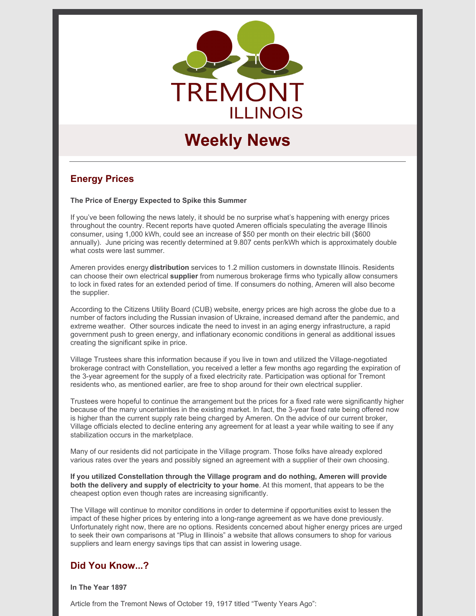

# **Weekly News**

# **Energy Prices**

**The Price of Energy Expected to Spike this Summer**

If you've been following the news lately, it should be no surprise what's happening with energy prices throughout the country. Recent reports have quoted Ameren officials speculating the average Illinois consumer, using 1,000 kWh, could see an increase of \$50 per month on their electric bill (\$600 annually). June pricing was recently determined at 9.807 cents per/kWh which is approximately double what costs were last summer.

Ameren provides energy **distribution** services to 1.2 million customers in downstate Illinois. Residents can choose their own electrical **supplier** from numerous brokerage firms who typically allow consumers to lock in fixed rates for an extended period of time. If consumers do nothing, Ameren will also become the supplier.

According to the Citizens Utility Board (CUB) website, energy prices are high across the globe due to a number of factors including the Russian invasion of Ukraine, increased demand after the pandemic, and extreme weather. Other sources indicate the need to invest in an aging energy infrastructure, a rapid government push to green energy, and inflationary economic conditions in general as additional issues creating the significant spike in price.

Village Trustees share this information because if you live in town and utilized the Village-negotiated brokerage contract with Constellation, you received a letter a few months ago regarding the expiration of the 3-year agreement for the supply of a fixed electricity rate. Participation was optional for Tremont residents who, as mentioned earlier, are free to shop around for their own electrical supplier.

Trustees were hopeful to continue the arrangement but the prices for a fixed rate were significantly higher because of the many uncertainties in the existing market. In fact, the 3-year fixed rate being offered now is higher than the current supply rate being charged by Ameren. On the advice of our current broker, Village officials elected to decline entering any agreement for at least a year while waiting to see if any stabilization occurs in the marketplace.

Many of our residents did not participate in the Village program. Those folks have already explored various rates over the years and possibly signed an agreement with a supplier of their own choosing.

**If you utilized Constellation through the Village program and do nothing, Ameren will provide both the delivery and supply of electricity to your home***.* At this moment, that appears to be the cheapest option even though rates are increasing significantly.

The Village will continue to monitor conditions in order to determine if opportunities exist to lessen the impact of these higher prices by entering into a long-range agreement as we have done previously. Unfortunately right now, there are no options. Residents concerned about higher energy prices are urged to seek their own comparisons at "Plug in Illinois" a website that allows consumers to shop for various suppliers and learn energy savings tips that can assist in lowering usage.

# **Did You Know...?**

**In The Year 1897**

Article from the Tremont News of October 19, 1917 titled "Twenty Years Ago":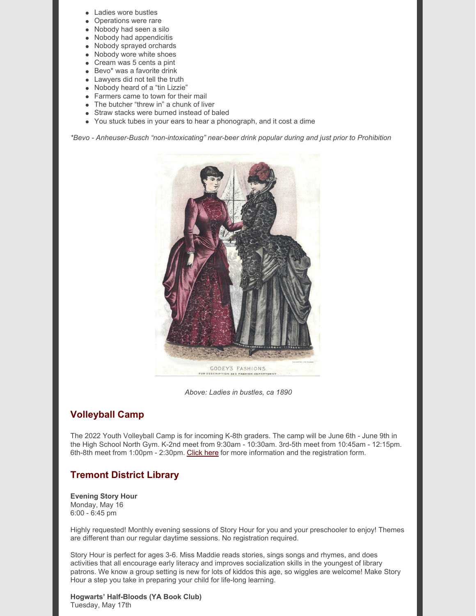- Ladies wore bustles
- Operations were rare
- Nobody had seen a silo
- Nobody had appendicitis
- Nobody sprayed orchards
- Nobody wore white shoes
- Cream was 5 cents a pint
- Bevo\* was a favorite drink
- Lawyers did not tell the truth
- Nobody heard of a "tin Lizzie"
- Farmers came to town for their mail
- The butcher "threw in" a chunk of liver
- Straw stacks were burned instead of baled
- You stuck tubes in your ears to hear a phonograph, and it cost a dime

*\*Bevo - Anheuser-Busch "non-intoxicating" near-beer drink popular during and just prior to Prohibition*



*Above: Ladies in bustles, ca 1890*

# **Volleyball Camp**

The 2022 Youth Volleyball Camp is for incoming K-8th graders. The camp will be June 6th - June 9th in the High School North Gym. K-2nd meet from 9:30am - 10:30am. 3rd-5th meet from 10:45am - 12:15pm. 6th-8th meet from 1:00pm - 2:30pm. [Click](https://www.tremontil.com/Tremont-news/2022/Youth Volleyball Camp 2022 Flyer.pdf) here for more information and the registration form.

# **Tremont District Library**

#### **Evening Story Hour** Monday, May 16 6:00 - 6:45 pm

Highly requested! Monthly evening sessions of Story Hour for you and your preschooler to enjoy! Themes are different than our regular daytime sessions. No registration required.

Story Hour is perfect for ages 3-6. Miss Maddie reads stories, sings songs and rhymes, and does activities that all encourage early literacy and improves socialization skills in the youngest of library patrons. We know a group setting is new for lots of kiddos this age, so wiggles are welcome! Make Story Hour a step you take in preparing your child for life-long learning.

**Hogwarts' Half-Bloods (YA Book Club)** Tuesday, May 17th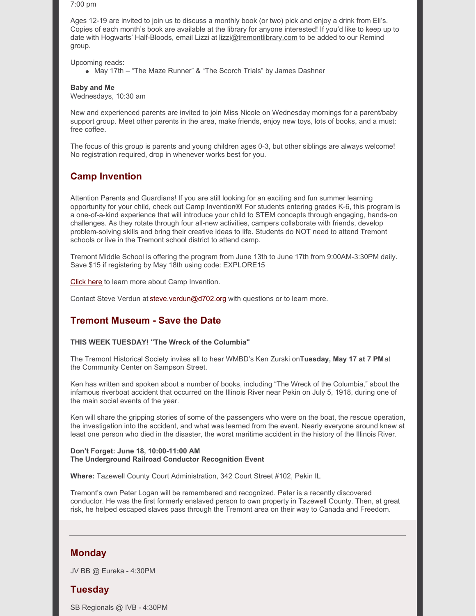7:00 pm

Ages 12-19 are invited to join us to discuss a monthly book (or two) pick and enjoy a drink from Eli's. Copies of each month's book are available at the library for anyone interested! If you'd like to keep up to date with Hogwarts' Half-Bloods, email Lizzi at [lizzi@tremontlibrary.com](mailto:lizzi@tremontlibrary.com) to be added to our Remind group.

Upcoming reads:

May 17th – "The Maze Runner" & "The Scorch Trials" by James Dashner

**Baby and Me**

Wednesdays, 10:30 am

New and experienced parents are invited to join Miss Nicole on Wednesday mornings for a parent/baby support group. Meet other parents in the area, make friends, enjoy new toys, lots of books, and a must: free coffee.

The focus of this group is parents and young children ages 0-3, but other siblings are always welcome! No registration required, drop in whenever works best for you.

# **Camp Invention**

Attention Parents and Guardians! If you are still looking for an exciting and fun summer learning opportunity for your child, check out Camp Invention®! For students entering grades K-6, this program is a one-of-a-kind experience that will introduce your child to STEM concepts through engaging, hands-on challenges. As they rotate through four all-new activities, campers collaborate with friends, develop problem-solving skills and bring their creative ideas to life. Students do NOT need to attend Tremont schools or live in the Tremont school district to attend camp.

Tremont Middle School is offering the program from June 13th to June 17th from 9:00AM-3:30PM daily. Save \$15 if registering by May 18th using code: EXPLORE15

[Click](https://www.invent.org/blog/behind-nihf-scenes/camp-invention-2022-all-kids) here to learn more about Camp Invention.

Contact Steve Verdun at [steve.verdun@d702.org](mailto:steve.verdun@d702.org) with questions or to learn more.

### **Tremont Museum - Save the Date**

#### **THIS WEEK TUESDAY! "The Wreck of the Columbia"**

The Tremont Historical Society invites all to hear WMBD's Ken Zurski on**Tuesday, May 17 at 7 PM**at the Community Center on Sampson Street.

Ken has written and spoken about a number of books, including "The Wreck of the Columbia," about the infamous riverboat accident that occurred on the Illinois River near Pekin on July 5, 1918, during one of the main social events of the year.

Ken will share the gripping stories of some of the passengers who were on the boat, the rescue operation, the investigation into the accident, and what was learned from the event. Nearly everyone around knew at least one person who died in the disaster, the worst maritime accident in the history of the Illinois River.

#### **Don't Forget: June 18, 10:00-11:00 AM The Underground Railroad Conductor Recognition Event**

**Where:** Tazewell County Court Administration, 342 Court Street #102, Pekin IL

Tremont's own Peter Logan will be remembered and recognized. Peter is a recently discovered conductor. He was the first formerly enslaved person to own property in Tazewell County. Then, at great risk, he helped escaped slaves pass through the Tremont area on their way to Canada and Freedom.

#### **Monday**

JV BB @ Eureka - 4:30PM

### **Tuesday**

SB Regionals @ IVB - 4:30PM